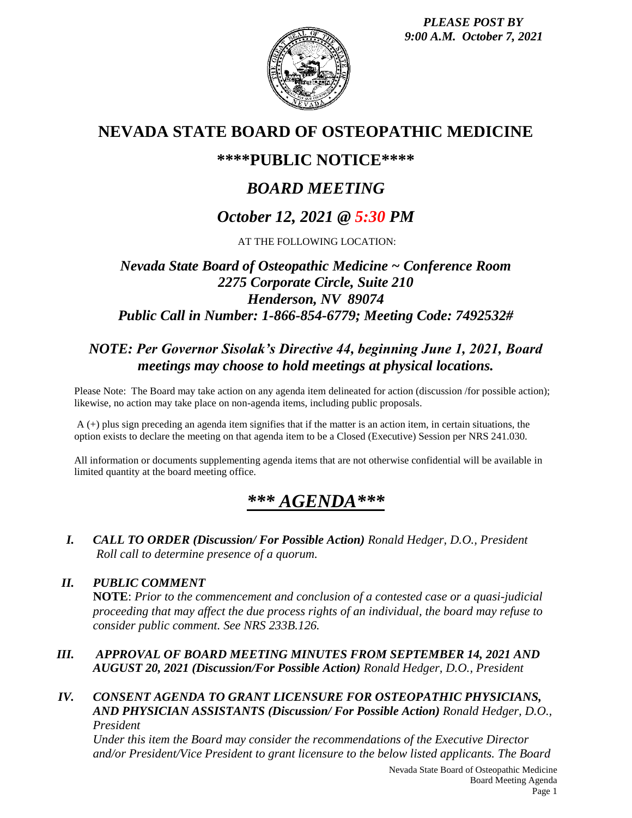*PLEASE POST BY 9:00 A.M. October 7, 2021*



# **NEVADA STATE BOARD OF OSTEOPATHIC MEDICINE**

## **\*\*\*\*PUBLIC NOTICE\*\*\*\***

# *BOARD MEETING*

# *October 12, 2021 @ 5:30 PM*

AT THE FOLLOWING LOCATION:

## *Nevada State Board of Osteopathic Medicine ~ Conference Room 2275 Corporate Circle, Suite 210 Henderson, NV 89074 Public Call in Number: 1-866-854-6779; Meeting Code: 7492532#*

## *NOTE: Per Governor Sisolak's Directive 44, beginning June 1, 2021, Board meetings may choose to hold meetings at physical locations.*

Please Note: The Board may take action on any agenda item delineated for action (discussion /for possible action); likewise, no action may take place on non-agenda items, including public proposals.

A (+) plus sign preceding an agenda item signifies that if the matter is an action item, in certain situations, the option exists to declare the meeting on that agenda item to be a Closed (Executive) Session per NRS 241.030.

All information or documents supplementing agenda items that are not otherwise confidential will be available in limited quantity at the board meeting office.

# *\*\*\* AGENDA\*\*\**

*I. CALL TO ORDER (Discussion/ For Possible Action) Ronald Hedger, D.O., President Roll call to determine presence of a quorum.*

### *II. PUBLIC COMMENT*

**NOTE**: *Prior to the commencement and conclusion of a contested case or a quasi-judicial proceeding that may affect the due process rights of an individual, the board may refuse to consider public comment. See NRS 233B.126.*

### *III. APPROVAL OF BOARD MEETING MINUTES FROM SEPTEMBER 14, 2021 AND AUGUST 20, 2021 (Discussion/For Possible Action) Ronald Hedger, D.O., President*

#### *IV. CONSENT AGENDA TO GRANT LICENSURE FOR OSTEOPATHIC PHYSICIANS, AND PHYSICIAN ASSISTANTS (Discussion/ For Possible Action) Ronald Hedger, D.O., President*

*Under this item the Board may consider the recommendations of the Executive Director and/or President/Vice President to grant licensure to the below listed applicants. The Board*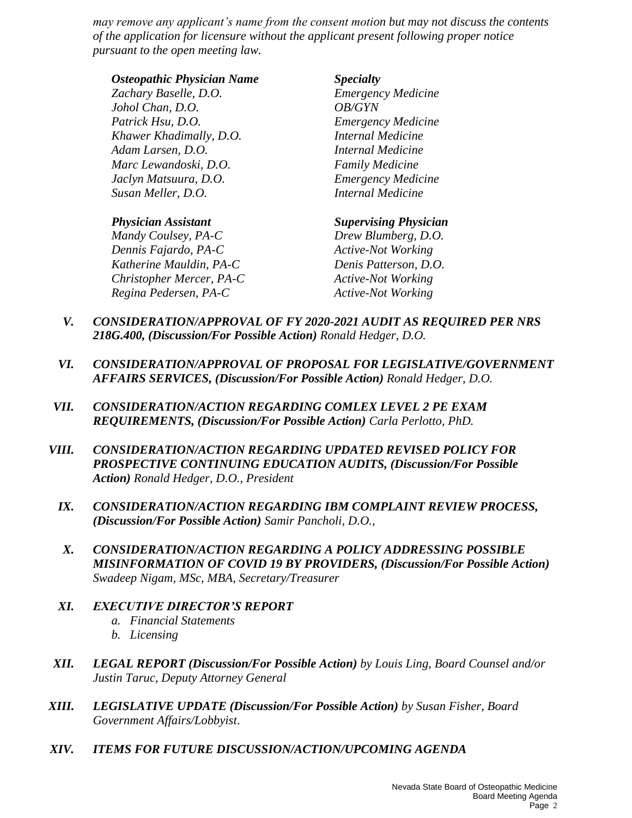*may remove any applicant's name from the consent motion but may not discuss the contents of the application for licensure without the applicant present following proper notice pursuant to the open meeting law.*

#### *Osteopathic Physician Name Specialty*

*Zachary Baselle, D.O. Emergency Medicine Johol Chan, D.O. OB/GYN Patrick Hsu, D.O. Emergency Medicine Khawer Khadimally, D.O. Internal Medicine Adam Larsen, D.O. Internal Medicine Marc Lewandoski, D.O. Family Medicine Jaclyn Matsuura, D.O. Emergency Medicine Susan Meller, D.O. Internal Medicine* 

*Mandy Coulsey, PA-C Drew Blumberg, D.O. Dennis Fajardo, PA-C Active-Not Working Katherine Mauldin, PA-C Denis Patterson, D.O. Christopher Mercer, PA-C Active-Not Working Regina Pedersen, PA-C Active-Not Working*

#### *Physician Assistant Supervising Physician*

- *V. CONSIDERATION/APPROVAL OF FY 2020-2021 AUDIT AS REQUIRED PER NRS 218G.400, (Discussion/For Possible Action) Ronald Hedger, D.O.*
- *VI. CONSIDERATION/APPROVAL OF PROPOSAL FOR LEGISLATIVE/GOVERNMENT AFFAIRS SERVICES, (Discussion/For Possible Action) Ronald Hedger, D.O.*
- *VII. CONSIDERATION/ACTION REGARDING COMLEX LEVEL 2 PE EXAM REQUIREMENTS, (Discussion/For Possible Action) Carla Perlotto, PhD.*
- *VIII. CONSIDERATION/ACTION REGARDING UPDATED REVISED POLICY FOR PROSPECTIVE CONTINUING EDUCATION AUDITS, (Discussion/For Possible Action) Ronald Hedger, D.O., President*
	- *IX. CONSIDERATION/ACTION REGARDING IBM COMPLAINT REVIEW PROCESS, (Discussion/For Possible Action) Samir Pancholi, D.O.,*
	- *X. CONSIDERATION/ACTION REGARDING A POLICY ADDRESSING POSSIBLE MISINFORMATION OF COVID 19 BY PROVIDERS, (Discussion/For Possible Action) Swadeep Nigam, MSc, MBA, Secretary/Treasurer*
	- *XI. EXECUTIVE DIRECTOR'S REPORT a. Financial Statements*
		- *b. Licensing*
- *XII. LEGAL REPORT (Discussion/For Possible Action) by Louis Ling, Board Counsel and/or Justin Taruc, Deputy Attorney General*
- *XIII. LEGISLATIVE UPDATE (Discussion/For Possible Action) by Susan Fisher, Board Government Affairs/Lobbyist*.
- *XIV. ITEMS FOR FUTURE DISCUSSION/ACTION/UPCOMING AGENDA*